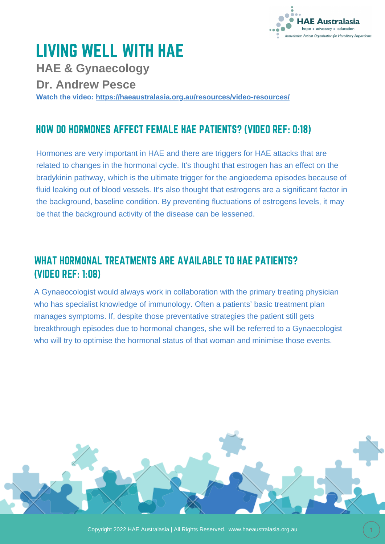

# LIVING WELL WITH HAE

**HAE & Gynaecology**

**Dr. Andrew Pesce**

**Watch the video: <https://haeaustralasia.org.au/resources/video-resources/>**

## HOW DO HORMONES AFFECT FEMALE HAE PATIENTS? (VIDEO REF: 0:18)

Hormones are very important in HAE and there are triggers for HAE attacks that are related to changes in the hormonal cycle. It's thought that estrogen has an effect on the bradykinin pathway, which is the ultimate trigger for the angioedema episodes because of fluid leaking out of blood vessels. It's also thought that estrogens are a significant factor in the background, baseline condition. By preventing fluctuations of estrogens levels, it may be that the background activity of the disease can be lessened.

## WHAT HORMONAL TREATMENTS ARE AVAILABLE TO HAE PATIENTS? (VIDEO REF: 1:08)

A Gynaeocologist would always work in collaboration with the primary treating physician who has specialist knowledge of immunology. Often a patients' basic treatment plan manages symptoms. If, despite those preventative strategies the patient still gets breakthrough episodes due to hormonal changes, she will be referred to a Gynaecologist who will try to optimise the hormonal status of that woman and minimise those events.

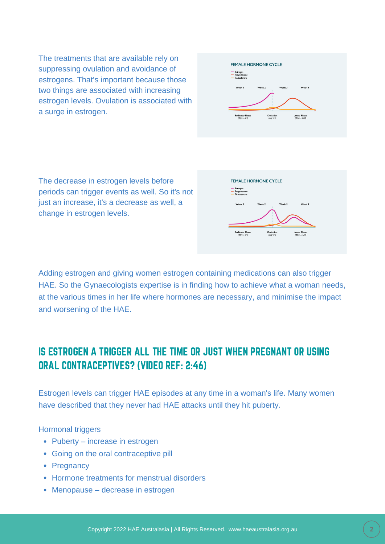The treatments that are available rely on suppressing ovulation and avoidance of estrogens. That's important because those two things are associated with increasing estrogen levels. Ovulation is associated with a surge in estrogen.



The decrease in estrogen levels before periods can trigger events as well. So it's not just an increase, it's a decrease as well, a change in estrogen levels.



Adding estrogen and giving women estrogen containing medications can also trigger HAE. So the Gynaecologists expertise is in finding how to achieve what a woman needs, at the various times in her life where hormones are necessary, and minimise the impact and worsening of the HAE.

## IS ESTROGEN A TRIGGER ALL THE TIME OR JUST WHEN PREGNANT OR USING ORAL CONTRACEPTIVES? (VIDEO REF: 2:46)

Estrogen levels can trigger HAE episodes at any time in a woman's life. Many women have described that they never had HAE attacks until they hit puberty.

Hormonal triggers

- Puberty increase in estrogen
- Going on the oral contraceptive pill
- Pregnancy
- Hormone treatments for menstrual disorders
- Menopause decrease in estrogen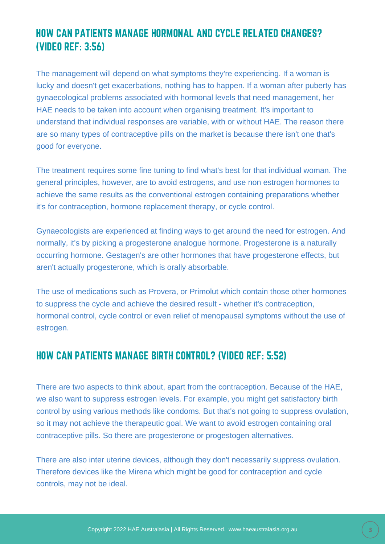## HOW CAN PATIENTS MANAGE HORMONAL AND CYCLE RELATED CHANGES? (VIDEO REF: 3:56)

The management will depend on what symptoms they're experiencing. If a woman is lucky and doesn't get exacerbations, nothing has to happen. If a woman after puberty has gynaecological problems associated with hormonal levels that need management, her HAE needs to be taken into account when organising treatment. It's important to understand that individual responses are variable, with or without HAE. The reason there are so many types of contraceptive pills on the market is because there isn't one that's good for everyone.

The treatment requires some fine tuning to find what's best for that individual woman. The general principles, however, are to avoid estrogens, and use non estrogen hormones to achieve the same results as the conventional estrogen containing preparations whether it's for contraception, hormone replacement therapy, or cycle control.

Gynaecologists are experienced at finding ways to get around the need for estrogen. And normally, it's by picking a progesterone analogue hormone. Progesterone is a naturally occurring hormone. Gestagen's are other hormones that have progesterone effects, but aren't actually progesterone, which is orally absorbable.

The use of medications such as Provera, or Primolut which contain those other hormones to suppress the cycle and achieve the desired result - whether it's contraception, hormonal control, cycle control or even relief of menopausal symptoms without the use of estrogen.

#### HOW CAN PATIENTS MANAGE BIRTH CONTROL? (VIDEO REF: 5:52)

There are two aspects to think about, apart from the contraception. Because of the HAE, we also want to suppress estrogen levels. For example, you might get satisfactory birth control by using various methods like condoms. But that's not going to suppress ovulation, so it may not achieve the therapeutic goal. We want to avoid estrogen containing oral contraceptive pills. So there are progesterone or progestogen alternatives.

There are also inter uterine devices, although they don't necessarily suppress ovulation. Therefore devices like the Mirena which might be good for contraception and cycle controls, may not be ideal.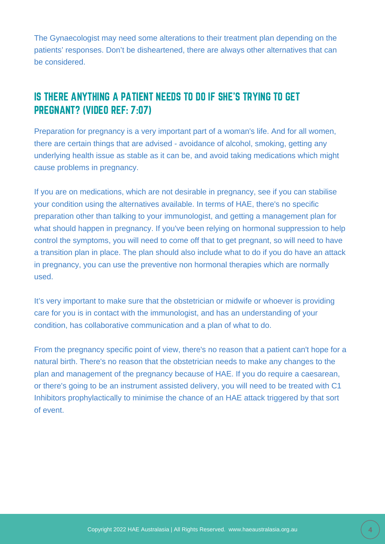The Gynaecologist may need some alterations to their treatment plan depending on the patients' responses. Don't be disheartened, there are always other alternatives that can be considered.

## IS THERE ANYTHING A PATIENT NEEDS TO DO IF SHE'S TRYING TO GET PREGNANT? (VIDEO REF: 7:07)

Preparation for pregnancy is a very important part of a woman's life. And for all women, there are certain things that are advised - avoidance of alcohol, smoking, getting any underlying health issue as stable as it can be, and avoid taking medications which might cause problems in pregnancy.

If you are on medications, which are not desirable in pregnancy, see if you can stabilise your condition using the alternatives available. In terms of HAE, there's no specific preparation other than talking to your immunologist, and getting a management plan for what should happen in pregnancy. If you've been relying on hormonal suppression to help control the symptoms, you will need to come off that to get pregnant, so will need to have a transition plan in place. The plan should also include what to do if you do have an attack in pregnancy, you can use the preventive non hormonal therapies which are normally used.

It's very important to make sure that the obstetrician or midwife or whoever is providing care for you is in contact with the immunologist, and has an understanding of your condition, has collaborative communication and a plan of what to do.

From the pregnancy specific point of view, there's no reason that a patient can't hope for a natural birth. There's no reason that the obstetrician needs to make any changes to the plan and management of the pregnancy because of HAE. If you do require a caesarean, or there's going to be an instrument assisted delivery, you will need to be treated with C1 Inhibitors prophylactically to minimise the chance of an HAE attack triggered by that sort of event.